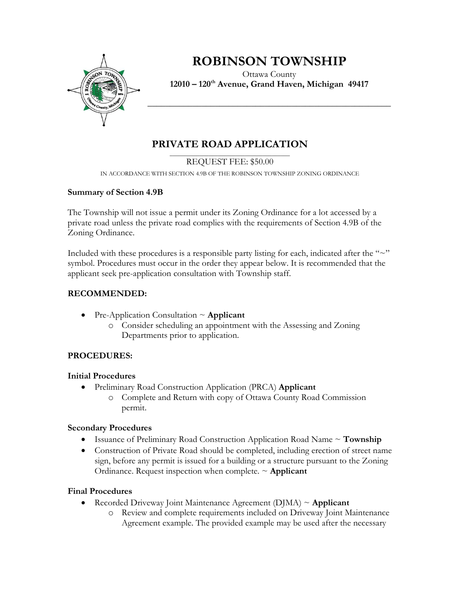

# **ROBINSON TOWNSHIP**

Ottawa County **12010 – 120th Avenue, Grand Haven, Michigan 49417**

**\_\_\_\_\_\_\_\_\_\_\_\_\_\_\_\_\_\_\_\_\_\_\_\_\_\_\_\_\_\_\_\_\_\_\_\_\_\_\_\_\_\_\_\_\_\_\_\_\_\_\_\_\_\_**

# **PRIVATE ROAD APPLICATION**

#### \_\_\_\_\_\_\_\_\_\_\_\_\_\_\_\_\_\_\_\_\_\_\_\_\_\_\_\_\_\_\_\_\_\_\_\_\_\_\_\_ REQUEST FEE: \$50.00

IN ACCORDANCE WITH SECTION 4.9B OF THE ROBINSON TOWNSHIP ZONING ORDINANCE

### **Summary of Section 4.9B**

The Township will not issue a permit under its Zoning Ordinance for a lot accessed by a private road unless the private road complies with the requirements of Section 4.9B of the Zoning Ordinance.

Included with these procedures is a responsible party listing for each, indicated after the  $\sim$ " symbol. Procedures must occur in the order they appear below. It is recommended that the applicant seek pre-application consultation with Township staff.

# **RECOMMENDED:**

- Pre-Application Consultation ~ **Applicant**
	- o Consider scheduling an appointment with the Assessing and Zoning Departments prior to application.

# **PROCEDURES:**

### **Initial Procedures**

- Preliminary Road Construction Application (PRCA) **Applicant**
	- o Complete and Return with copy of Ottawa County Road Commission permit.

# **Secondary Procedures**

- Issuance of Preliminary Road Construction Application Road Name ~ **Township**
- Construction of Private Road should be completed, including erection of street name sign, before any permit is issued for a building or a structure pursuant to the Zoning Ordinance. Request inspection when complete. ~ **Applicant**

# **Final Procedures**

- Recorded Driveway Joint Maintenance Agreement (DJMA) ~ **Applicant**
	- o Review and complete requirements included on Driveway Joint Maintenance Agreement example. The provided example may be used after the necessary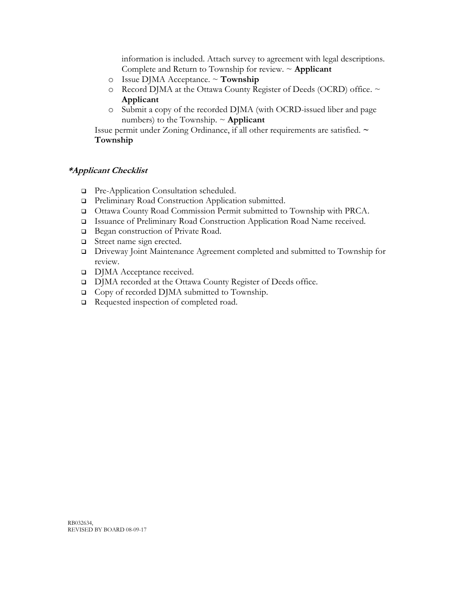information is included. Attach survey to agreement with legal descriptions. Complete and Return to Township for review. ~ **Applicant**

- o Issue DJMA Acceptance. ~ **Township**
- o Record DJMA at the Ottawa County Register of Deeds (OCRD) office. ~ **Applicant**
- o Submit a copy of the recorded DJMA (with OCRD-issued liber and page numbers) to the Township.  $\sim$  **Applicant**

Issue permit under Zoning Ordinance, if all other requirements are satisfied. **~ Township**

### **\*Applicant Checklist**

- **Pre-Application Consultation scheduled.**
- Preliminary Road Construction Application submitted.
- Ottawa County Road Commission Permit submitted to Township with PRCA.
- Issuance of Preliminary Road Construction Application Road Name received.
- □ Began construction of Private Road.
- Street name sign erected.
- Driveway Joint Maintenance Agreement completed and submitted to Township for review.
- DJMA Acceptance received.
- DJMA recorded at the Ottawa County Register of Deeds office.
- □ Copy of recorded DJMA submitted to Township.
- Requested inspection of completed road.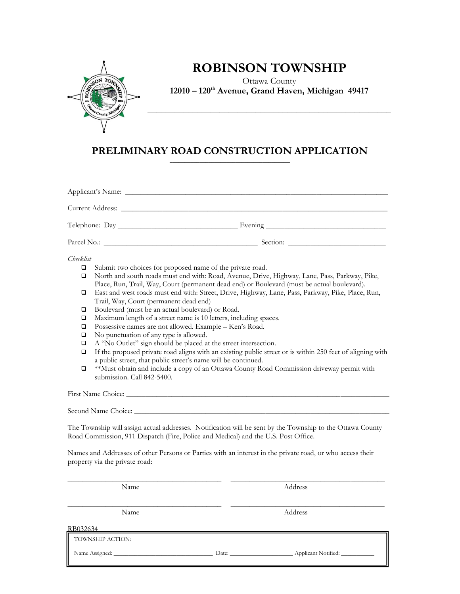

# **ROBINSON TOWNSHIP**

Ottawa County **12010 – 120th Avenue, Grand Haven, Michigan 49417**

**\_\_\_\_\_\_\_\_\_\_\_\_\_\_\_\_\_\_\_\_\_\_\_\_\_\_\_\_\_\_\_\_\_\_\_\_\_\_\_\_\_\_\_\_\_\_\_\_\_\_\_\_\_\_**

#### **PRELIMINARY ROAD CONSTRUCTION APPLICATION** \_\_\_\_\_\_\_\_\_\_\_\_\_\_\_\_\_\_\_\_\_\_\_\_\_\_\_\_\_\_\_\_\_\_\_\_\_\_\_\_

| Checklist<br>Submit two choices for proposed name of the private road.<br>□<br>North and south roads must end with: Road, Avenue, Drive, Highway, Lane, Pass, Parkway, Pike,<br>$\Box$<br>Place, Run, Trail, Way, Court (permanent dead end) or Boulevard (must be actual boulevard).<br>East and west roads must end with: Street, Drive, Highway, Lane, Pass, Parkway, Pike, Place, Run,<br>❏<br>Trail, Way, Court (permanent dead end)<br>Boulevard (must be an actual boulevard) or Road.<br>$\Box$<br>Maximum length of a street name is 10 letters, including spaces.<br>$\Box$<br>Possessive names are not allowed. Example - Ken's Road.<br>$\Box$<br>No punctuation of any type is allowed.<br>□<br>$\Box$<br>A "No Outlet" sign should be placed at the street intersection.<br>If the proposed private road aligns with an existing public street or is within 250 feet of aligning with<br>$\Box$<br>a public street, that public street's name will be continued.<br>**Must obtain and include a copy of an Ottawa County Road Commission driveway permit with<br>❏<br>submission. Call 842-5400. |                                                                                    |                                                                                                           |
|----------------------------------------------------------------------------------------------------------------------------------------------------------------------------------------------------------------------------------------------------------------------------------------------------------------------------------------------------------------------------------------------------------------------------------------------------------------------------------------------------------------------------------------------------------------------------------------------------------------------------------------------------------------------------------------------------------------------------------------------------------------------------------------------------------------------------------------------------------------------------------------------------------------------------------------------------------------------------------------------------------------------------------------------------------------------------------------------------------------|------------------------------------------------------------------------------------|-----------------------------------------------------------------------------------------------------------|
|                                                                                                                                                                                                                                                                                                                                                                                                                                                                                                                                                                                                                                                                                                                                                                                                                                                                                                                                                                                                                                                                                                                |                                                                                    |                                                                                                           |
|                                                                                                                                                                                                                                                                                                                                                                                                                                                                                                                                                                                                                                                                                                                                                                                                                                                                                                                                                                                                                                                                                                                |                                                                                    |                                                                                                           |
|                                                                                                                                                                                                                                                                                                                                                                                                                                                                                                                                                                                                                                                                                                                                                                                                                                                                                                                                                                                                                                                                                                                | Road Commission, 911 Dispatch (Fire, Police and Medical) and the U.S. Post Office. | The Township will assign actual addresses. Notification will be sent by the Township to the Ottawa County |
|                                                                                                                                                                                                                                                                                                                                                                                                                                                                                                                                                                                                                                                                                                                                                                                                                                                                                                                                                                                                                                                                                                                | property via the private road:                                                     | Names and Addresses of other Persons or Parties with an interest in the private road, or who access their |
| Name                                                                                                                                                                                                                                                                                                                                                                                                                                                                                                                                                                                                                                                                                                                                                                                                                                                                                                                                                                                                                                                                                                           |                                                                                    | Address                                                                                                   |
| Name                                                                                                                                                                                                                                                                                                                                                                                                                                                                                                                                                                                                                                                                                                                                                                                                                                                                                                                                                                                                                                                                                                           |                                                                                    | Address                                                                                                   |

```
RB032634
```
TOWNSHIP ACTION:

Name Assigned: \_\_\_\_\_\_\_\_\_\_\_\_\_\_\_\_\_\_\_\_\_\_\_\_\_\_\_\_\_\_\_\_\_ Date: \_\_\_\_\_\_\_\_\_\_\_\_\_\_\_\_\_\_\_\_\_ Applicant Notified: \_\_\_\_\_\_\_\_\_\_\_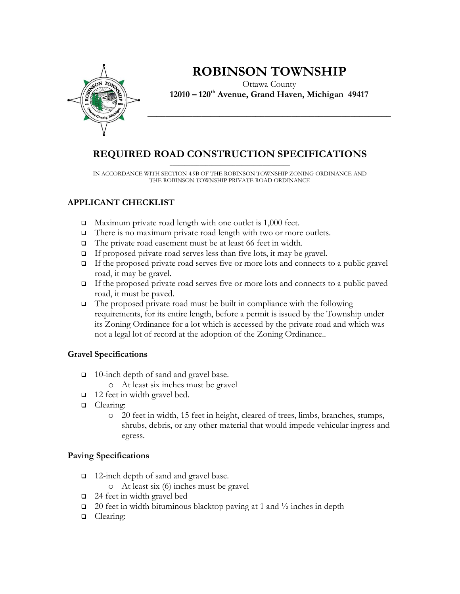

# **ROBINSON TOWNSHIP**

Ottawa County **12010 – 120th Avenue, Grand Haven, Michigan 49417**

**\_\_\_\_\_\_\_\_\_\_\_\_\_\_\_\_\_\_\_\_\_\_\_\_\_\_\_\_\_\_\_\_\_\_\_\_\_\_\_\_\_\_\_\_\_\_\_\_\_\_\_\_\_\_**

#### **REQUIRED ROAD CONSTRUCTION SPECIFICATIONS** \_\_\_\_\_\_\_\_\_\_\_\_\_\_\_\_\_\_\_\_\_\_\_\_\_\_\_\_\_\_\_\_\_\_\_\_\_\_\_\_

IN ACCORDANCE WITH SECTION 4.9B OF THE ROBINSON TOWNSHIP ZONING ORDINANCE AND THE ROBINSON TOWNSHIP PRIVATE ROAD ORDINANCE

# **APPLICANT CHECKLIST**

- $\Box$  Maximum private road length with one outlet is 1,000 feet.
- □ There is no maximum private road length with two or more outlets.
- The private road easement must be at least 66 feet in width.
- $\Box$  If proposed private road serves less than five lots, it may be gravel.
- If the proposed private road serves five or more lots and connects to a public gravel road, it may be gravel.
- If the proposed private road serves five or more lots and connects to a public paved road, it must be paved.
- $\Box$  The proposed private road must be built in compliance with the following requirements, for its entire length, before a permit is issued by the Township under its Zoning Ordinance for a lot which is accessed by the private road and which was not a legal lot of record at the adoption of the Zoning Ordinance..

### **Gravel Specifications**

- □ 10-inch depth of sand and gravel base.
	- o At least six inches must be gravel
- □ 12 feet in width gravel bed.
- **Q** Clearing:
	- o 20 feet in width, 15 feet in height, cleared of trees, limbs, branches, stumps, shrubs, debris, or any other material that would impede vehicular ingress and egress.

### **Paving Specifications**

- □ 12-inch depth of sand and gravel base.
	- o At least six (6) inches must be gravel
- $\Box$  24 feet in width gravel bed
- $\Box$  20 feet in width bituminous blacktop paving at 1 and  $\frac{1}{2}$  inches in depth
- **Q** Clearing: